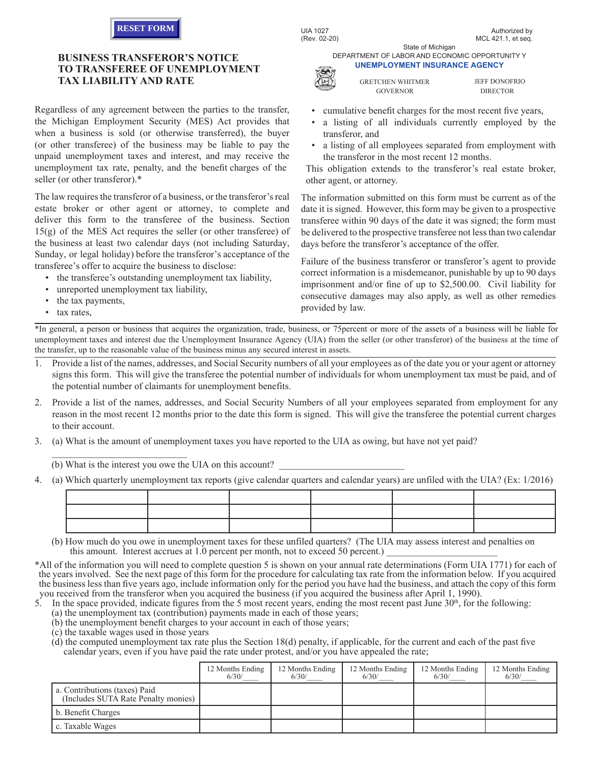

## **BUSINESS TRANSFEROR'S NOTICE TO TRANSFEREE OF UNEMPLOYMENT TAX LIABILITY AND RATE**

Regardless of any agreement between the parties to the transfer, the Michigan Employment Security (MES) Act provides that when a business is sold (or otherwise transferred), the buyer (or other transferee) of the business may be liable to pay the unpaid unemployment taxes and interest, and may receive the unemployment tax rate, penalty, and the benefit charges of the seller (or other transferor).\*

The law requires the transferor of a business, or the transferor's real estate broker or other agent or attorney, to complete and deliver this form to the transferee of the business. Section 15(g) of the MES Act requires the seller (or other transferee) of the business at least two calendar days (not including Saturday, Sunday, or legal holiday) before the transferor's acceptance of the transferee's offer to acquire the business to disclose:

- the transferee's outstanding unemployment tax liability,
- unreported unemployment tax liability,

 $\mathcal{L}_\text{max}$  , where  $\mathcal{L}_\text{max}$  and  $\mathcal{L}_\text{max}$ 

- the tax payments,
- tax rates,

State of Michigan DEPARTMENT OF LABOR AND ECONOMIC OPPORTUNITY Y **UNEMPLOYMENT INSURANCE AGENCY**



GRETCHEN WHITMER GOVERNOR

JEFF DONOFRIO DIRECTOR

- cumulative benefit charges for the most recent five years,
- a listing of all individuals currently employed by the transferor, and
- a listing of all employees separated from employment with the transferor in the most recent 12 months.

This obligation extends to the transferor's real estate broker, other agent, or attorney.

The information submitted on this form must be current as of the date it is signed. However, this form may be given to a prospective transferee within 90 days of the date it was signed; the form must be delivered to the prospective transferee not less than two calendar days before the transferor's acceptance of the offer.

Failure of the business transferor or transferor's agent to provide correct information is a misdemeanor, punishable by up to 90 days imprisonment and/or fine of up to \$2,500.00. Civil liability for consecutive damages may also apply, as well as other remedies provided by law.

\*In general, a person or business that acquires the organization, trade, business, or 75percent or more of the assets of a business will be liable for unemployment taxes and interest due the Unemployment Insurance Agency (UIA) from the seller (or other transferor) of the business at the time of the transfer, up to the reasonable value of the business minus any secured interest in assets.

- 1. Provide a list of the names, addresses, and Social Security numbers of all your employees as of the date you or your agent or attorney signs this form. This will give the transferee the potential number of individuals for whom unemployment tax must be paid, and of the potential number of claimants for unemployment benefits.
- 2. Provide a list of the names, addresses, and Social Security Numbers of all your employees separated from employment for any reason in the most recent 12 months prior to the date this form is signed. This will give the transferee the potential current charges to their account.
- 3. (a) What is the amount of unemployment taxes you have reported to the UIA as owing, but have not yet paid?

(b) What is the interest you owe the UIA on this account?

4. (a) Which quarterly unemployment tax reports (give calendar quarters and calendar years) are unfiled with the UIA? (Ex: 1/2016)

(b) How much do you owe in unemployment taxes for these unfiled quarters? (The UIA may assess interest and penalties on this amount. Interest accrues at 1.0 percent per month, not to exceed 50 percent.)

\*All of the information you will need to complete question 5 is shown on your annual rate determinations (Form UIA 1771) for each of the years involved. See the next page of this form for the procedure for calculating tax rate from the information below. If you acquired the business less than five years ago, include information only for the period you have had the business, and attach the copy of this form you received from the transferor when you acquired the business (if you acquired the business after April 1, 1990).<br>5. In the space provided indicate figures from the 5 weet space of the state of the space of the space of

In the space provided, indicate figures from the 5 most recent years, ending the most recent past June  $30<sup>th</sup>$ , for the following:

- (a) the unemployment tax (contribution) payments made in each of those years;
- (b) the unemployment benefit charges to your account in each of those years;
- (c) the taxable wages used in those years

(d) the computed unemployment tax rate plus the Section 18(d) penalty, if applicable, for the current and each of the past five calendar years, even if you have paid the rate under protest, and/or you have appealed the rate;

|                                                                      | 12 Months Ending<br>6/30/ | 12 Months Ending<br>6/30/ | 12 Months Ending<br>6/30/ | 12 Months Ending<br>6/30/ | 12 Months Ending<br>6/30/ |
|----------------------------------------------------------------------|---------------------------|---------------------------|---------------------------|---------------------------|---------------------------|
| a. Contributions (taxes) Paid<br>(Includes SUTA Rate Penalty monies) |                           |                           |                           |                           |                           |
| b. Benefit Charges                                                   |                           |                           |                           |                           |                           |
| c. Taxable Wages                                                     |                           |                           |                           |                           |                           |